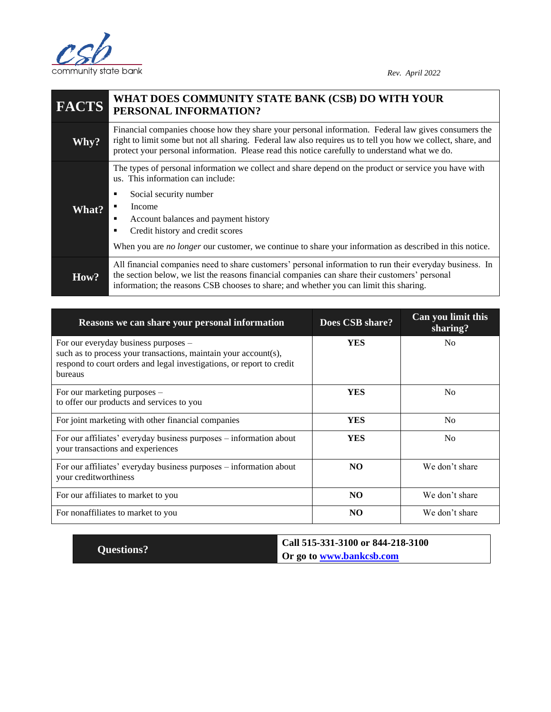

| <b>FACTS</b> | WHAT DOES COMMUNITY STATE BANK (CSB) DO WITH YOUR<br>PERSONAL INFORMATION?                                                                                                                                                                                                                                                                                                             |  |
|--------------|----------------------------------------------------------------------------------------------------------------------------------------------------------------------------------------------------------------------------------------------------------------------------------------------------------------------------------------------------------------------------------------|--|
| Why?         | Financial companies choose how they share your personal information. Federal law gives consumers the<br>right to limit some but not all sharing. Federal law also requires us to tell you how we collect, share, and<br>protect your personal information. Please read this notice carefully to understand what we do.                                                                 |  |
| <b>What?</b> | The types of personal information we collect and share depend on the product or service you have with<br>us. This information can include:<br>Social security number<br>٠<br>Income<br>Account balances and payment history<br>٠<br>Credit history and credit scores<br>When you are <i>no longer</i> our customer, we continue to share your information as described in this notice. |  |
| How?         | All financial companies need to share customers' personal information to run their everyday business. In<br>the section below, we list the reasons financial companies can share their customers' personal<br>information; the reasons CSB chooses to share; and whether you can limit this sharing.                                                                                   |  |

| Reasons we can share your personal information                                                                                                                                              | Does CSB share? | Can you limit this<br>sharing? |
|---------------------------------------------------------------------------------------------------------------------------------------------------------------------------------------------|-----------------|--------------------------------|
| For our everyday business purposes –<br>such as to process your transactions, maintain your account(s),<br>respond to court orders and legal investigations, or report to credit<br>bureaus | <b>YES</b>      | N <sub>0</sub>                 |
| For our marketing purposes -<br>to offer our products and services to you                                                                                                                   | <b>YES</b>      | N <sub>0</sub>                 |
| For joint marketing with other financial companies                                                                                                                                          | <b>YES</b>      | N <sub>0</sub>                 |
| For our affiliates' everyday business purposes – information about<br>your transactions and experiences                                                                                     | <b>YES</b>      | N <sub>0</sub>                 |
| For our affiliates' everyday business purposes – information about<br>your creditworthiness                                                                                                 | NO.             | We don't share                 |
| For our affiliates to market to you                                                                                                                                                         | NO.             | We don't share                 |
| For nonaffiliates to market to you                                                                                                                                                          | N <sub>O</sub>  | We don't share                 |

|                   | Call 515-331-3100 or 844-218-3100 |
|-------------------|-----------------------------------|
| <b>Questions?</b> | Or go to www.bankcsb.com          |